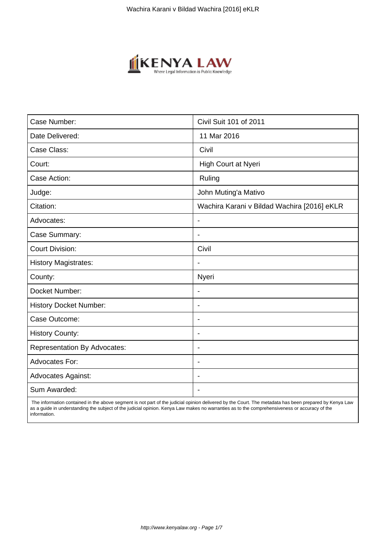

| Case Number:                        | Civil Suit 101 of 2011                      |
|-------------------------------------|---------------------------------------------|
| Date Delivered:                     | 11 Mar 2016                                 |
| Case Class:                         | Civil                                       |
| Court:                              | High Court at Nyeri                         |
| Case Action:                        | Ruling                                      |
| Judge:                              | John Muting'a Mativo                        |
| Citation:                           | Wachira Karani v Bildad Wachira [2016] eKLR |
| Advocates:                          | $\blacksquare$                              |
| Case Summary:                       | $\blacksquare$                              |
| <b>Court Division:</b>              | Civil                                       |
| <b>History Magistrates:</b>         |                                             |
| County:                             | Nyeri                                       |
| Docket Number:                      |                                             |
| <b>History Docket Number:</b>       | $\overline{\phantom{a}}$                    |
| Case Outcome:                       | $\blacksquare$                              |
| <b>History County:</b>              | $\blacksquare$                              |
| <b>Representation By Advocates:</b> | $\blacksquare$                              |
| Advocates For:                      | $\overline{\phantom{a}}$                    |
| <b>Advocates Against:</b>           |                                             |
| Sum Awarded:                        |                                             |

 The information contained in the above segment is not part of the judicial opinion delivered by the Court. The metadata has been prepared by Kenya Law as a guide in understanding the subject of the judicial opinion. Kenya Law makes no warranties as to the comprehensiveness or accuracy of the information.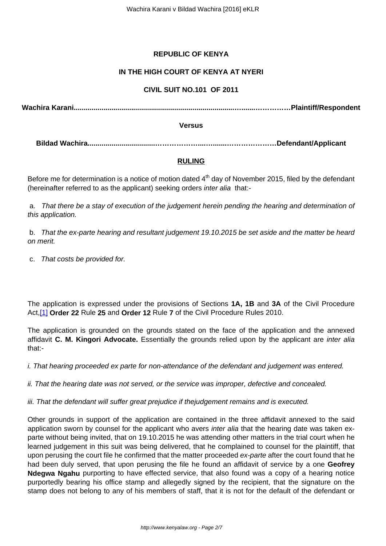# **REPUBLIC OF KENYA**

## **IN THE HIGH COURT OF KENYA AT NYERI**

### **CIVIL SUIT NO.101 OF 2011**

**Wachira Karani.................................................................................….......……………Plaintiff/Respondent**

#### **Versus**

**Bildad Wachira..................................………………....….......…………………Defendant/Applicant**

### **RULING**

Before me for determination is a notice of motion dated  $4<sup>th</sup>$  day of November 2015, filed by the defendant (hereinafter referred to as the applicant) seeking orders inter alia that:-

a. That there be a stay of execution of the judgement herein pending the hearing and determination of this application.

b. That the ex-parte hearing and resultant judgement 19.10.2015 be set aside and the matter be heard on merit.

c. That costs be provided for.

The application is expressed under the provisions of Sections **1A, 1B** and **3A** of the Civil Procedure Act,[1] **Order 22** Rule **25** and **Order 12** Rule **7** of the Civil Procedure Rules 2010.

The application is grounded on the grounds stated on the face of the application and the annexed affidavit **C. M. Kingori Advocate.** Essentially the grounds relied upon by the applicant are inter alia that:-

i. That hearing proceeded ex parte for non-attendance of the defendant and judgement was entered.

ii. That the hearing date was not served, or the service was improper, defective and concealed.

iii. That the defendant will suffer great prejudice if thejudgement remains and is executed.

Other grounds in support of the application are contained in the three affidavit annexed to the said application sworn by counsel for the applicant who avers inter alia that the hearing date was taken exparte without being invited, that on 19.10.2015 he was attending other matters in the trial court when he learned judgement in this suit was being delivered, that he complained to counsel for the plaintiff, that upon perusing the court file he confirmed that the matter proceeded ex-parte after the court found that he had been duly served, that upon perusing the file he found an affidavit of service by a one **Geofrey Ndegwa Ngahu** purporting to have effected service, that also found was a copy of a hearing notice purportedly bearing his office stamp and allegedly signed by the recipient, that the signature on the stamp does not belong to any of his members of staff, that it is not for the default of the defendant or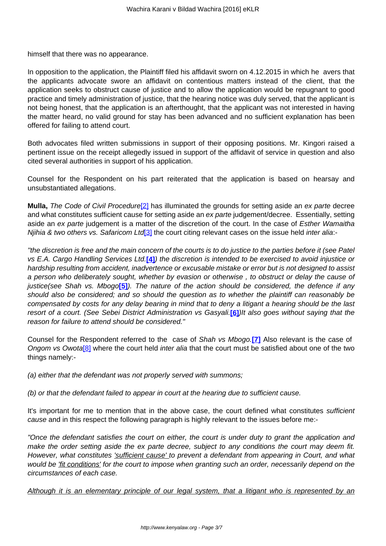himself that there was no appearance.

In opposition to the application, the Plaintiff filed his affidavit sworn on 4.12.2015 in which he avers that the applicants advocate swore an affidavit on contentious matters instead of the client, that the application seeks to obstruct cause of justice and to allow the application would be repugnant to good practice and timely administration of justice, that the hearing notice was duly served, that the applicant is not being honest, that the application is an afterthought, that the applicant was not interested in having the matter heard, no valid ground for stay has been advanced and no sufficient explanation has been offered for failing to attend court.

Both advocates filed written submissions in support of their opposing positions. Mr. Kingori raised a pertinent issue on the receipt allegedly issued in support of the affidavit of service in question and also cited several authorities in support of his application.

Counsel for the Respondent on his part reiterated that the application is based on hearsay and unsubstantiated allegations.

**Mulla,** The Code of Civil Procedure<sup>[2]</sup> has illuminated the grounds for setting aside an ex parte decree and what constitutes sufficient cause for setting aside an ex parte judgement/decree. Essentially, setting aside an ex parte judgement is a matter of the discretion of the court. In the case of Esther Wamaitha Niihia & two others vs. Safaricom Ltd[3] the court citing relevant cases on the issue held inter alia:-

''the discretion is free and the main concern of the courts is to do justice to the parties before it (see Patel vs E.A. Cargo Handling Services Ltd.**[4]**) the discretion is intended to be exercised to avoid injustice or hardship resulting from accident, inadvertence or excusable mistake or error but is not designed to assist a person who deliberately sought, whether by evasion or otherwise , to obstruct or delay the cause of justice(see Shah vs. Mbogo<sup>[5]</sup>). The nature of the action should be considered, the defence if any should also be considered; and so should the question as to whether the plaintiff can reasonably be compensated by costs for any delay bearing in mind that to deny a litigant a hearing should be the last resort of a court. (See Sebei District Administration vs Gasyali.**[6]**)It also goes without saying that the reason for failure to attend should be considered."

Counsel for the Respondent referred to the case of Shah vs Mbogo.**[7]** Also relevant is the case of Ongom vs Owota<sup>[8]</sup> where the court held inter alia that the court must be satisfied about one of the two things namely:-

(a) either that the defendant was not properly served with summons;

(b) or that the defendant failed to appear in court at the hearing due to sufficient cause.

It's important for me to mention that in the above case, the court defined what constitutes sufficient cause and in this respect the following paragraph is highly relevant to the issues before me:-

"Once the defendant satisfies the court on either, the court is under duty to grant the application and make the order setting aside the ex parte decree, subject to any conditions the court may deem fit. However, what constitutes *'sufficient cause'* to prevent a defendant from appearing in Court, and what would be <u>'fit conditions'</u> for the court to impose when granting such an order, necessarily depend on the circumstances of each case.

Although it is an elementary principle of our legal system, that a litigant who is represented by an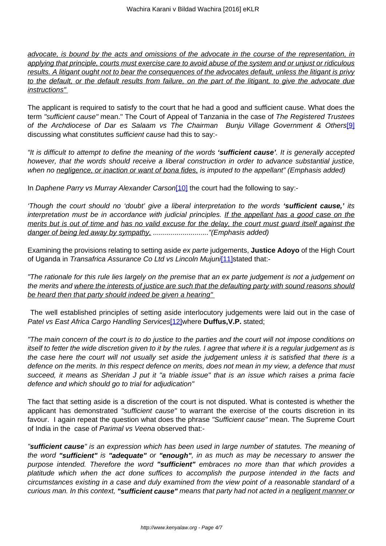advocate, is bound by the acts and omissions of the advocate in the course of the representation, in applying that principle, courts must exercise care to avoid abuse of the system and or unjust or ridiculous results. A litigant ought not to bear the consequences of the advocates default, unless the litigant is privy to the default, or the default results from failure, on the part of the litigant, to give the advocate due instructions"

The applicant is required to satisfy to the court that he had a good and sufficient cause. What does the term "sufficient cause" mean." The Court of Appeal of Tanzania in the case of The Registered Trustees of the Archdiocese of Dar es Salaam vs The Chairman Bunju Village Government & Others<sup>[9]</sup> discussing what constitutes sufficient cause had this to say:-

"It is difficult to attempt to define the meaning of the words **'sufficient cause'**. It is generally accepted however, that the words should receive a liberal construction in order to advance substantial justice, when no negligence, or inaction or want of bona fides, is imputed to the appellant" (Emphasis added)

In Daphene Parry vs Murray Alexander Carson[10] the court had the following to say:-

'Though the court should no 'doubt' give a liberal interpretation to the words **'sufficient cause,'** its interpretation must be in accordance with judicial principles. If the appellant has a good case on the merits but is out of time and has no valid excuse for the delay, the court must guard itself against the danger of being led away by sympathy, ............................."(Emphasis added)

Examining the provisions relating to setting aside ex parte judgements, **Justice Adoyo** of the High Court of Uganda in Transafrica Assurance Co Ltd vs Lincoln Mujuni[11] stated that:-

"The rationale for this rule lies largely on the premise that an ex parte judgement is not a judgement on the merits and where the interests of justice are such that the defaulting party with sound reasons should be heard then that party should indeed be given a hearing"

The well established principles of setting aside interlocutory judgements were laid out in the case of Patel vs East Africa Cargo Handling Services<sup>[12]</sup>where **Duffus, V.P.** stated;

"The main concern of the court is to do justice to the parties and the court will not impose conditions on itself to fetter the wide discretion given to it by the rules. I agree that where it is a regular judgement as is the case here the court will not usually set aside the judgement unless it is satisfied that there is a defence on the merits. In this respect defence on merits, does not mean in my view, a defence that must succeed, it means as Sheridan J put it "a triable issue" that is an issue which raises a prima facie defence and which should go to trial for adjudication"

The fact that setting aside is a discretion of the court is not disputed. What is contested is whether the applicant has demonstrated "sufficient cause" to warrant the exercise of the courts discretion in its favour. I again repeat the question what does the phrase "Sufficient cause" mean. The Supreme Court of India in the case of Parimal vs Veena observed that:-

"**sufficient cause**" is an expression which has been used in large number of statutes. The meaning of the word **"sufficient"** is **"adequate"** or **"enough"**, in as much as may be necessary to answer the purpose intended. Therefore the word **"sufficient"** embraces no more than that which provides a platitude which when the act done suffices to accomplish the purpose intended in the facts and circumstances existing in a case and duly examined from the view point of a reasonable standard of a curious man. In this context, **"sufficient cause"** means that party had not acted in a negligent manner or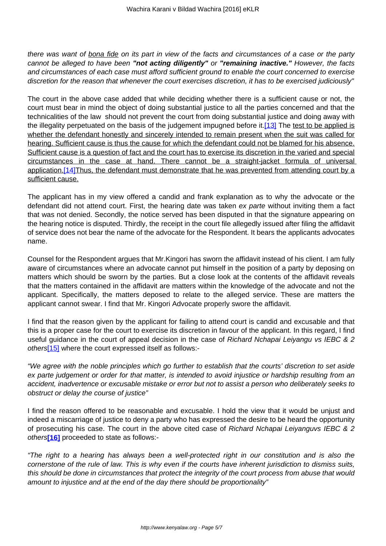there was want of bona fide on its part in view of the facts and circumstances of a case or the party cannot be alleged to have been **"not acting diligently"** or **"remaining inactive."** However, the facts and circumstances of each case must afford sufficient ground to enable the court concerned to exercise discretion for the reason that whenever the court exercises discretion, it has to be exercised judiciously"

The court in the above case added that while deciding whether there is a sufficient cause or not, the court must bear in mind the object of doing substantial justice to all the parties concerned and that the technicalities of the law should not prevent the court from doing substantial justice and doing away with the illegality perpetuated on the basis of the judgement impugned before it.[13] The test to be applied is whether the defendant honestly and sincerely intended to remain present when the suit was called for hearing. Sufficient cause is thus the cause for which the defendant could not be blamed for his absence. Sufficient cause is a question of fact and the court has to exercise its discretion in the varied and special circumstances in the case at hand. There cannot be a straight-jacket formula of universal application.<sup>[14]</sup>Thus, the defendant must demonstrate that he was prevented from attending court by a sufficient cause.

The applicant has in my view offered a candid and frank explanation as to why the advocate or the defendant did not attend court. First, the hearing date was taken ex parte without inviting them a fact that was not denied. Secondly, the notice served has been disputed in that the signature appearing on the hearing notice is disputed. Thirdly, the receipt in the court file allegedly issued after filing the affidavit of service does not bear the name of the advocate for the Respondent. It bears the applicants advocates name.

Counsel for the Respondent argues that Mr.Kingori has sworn the affidavit instead of his client. I am fully aware of circumstances where an advocate cannot put himself in the position of a party by deposing on matters which should be sworn by the parties. But a close look at the contents of the affidavit reveals that the matters contained in the affidavit are matters within the knowledge of the advocate and not the applicant. Specifically, the matters deposed to relate to the alleged service. These are matters the applicant cannot swear. I find that Mr. Kingori Advocate properly swore the affidavit.

I find that the reason given by the applicant for failing to attend court is candid and excusable and that this is a proper case for the court to exercise its discretion in favour of the applicant. In this regard, I find useful guidance in the court of appeal decision in the case of Richard Nchapai Leiyangu vs IEBC & 2 others<sup>[15]</sup> where the court expressed itself as follows:-

"We agree with the noble principles which go further to establish that the courts' discretion to set aside ex parte judgement or order for that matter, is intended to avoid injustice or hardship resulting from an accident, inadvertence or excusable mistake or error but not to assist a person who deliberately seeks to obstruct or delay the course of justice"

I find the reason offered to be reasonable and excusable. I hold the view that it would be unjust and indeed a miscarriage of justice to deny a party who has expressed the desire to be heard the opportunity of prosecuting his case. The court in the above cited case of Richard Nchapai Leiyanguvs IEBC & 2 others**[16]** proceeded to state as follows:-

"The right to a hearing has always been a well-protected right in our constitution and is also the cornerstone of the rule of law. This is why even if the courts have inherent jurisdiction to dismiss suits, this should be done in circumstances that protect the integrity of the court process from abuse that would amount to injustice and at the end of the day there should be proportionality"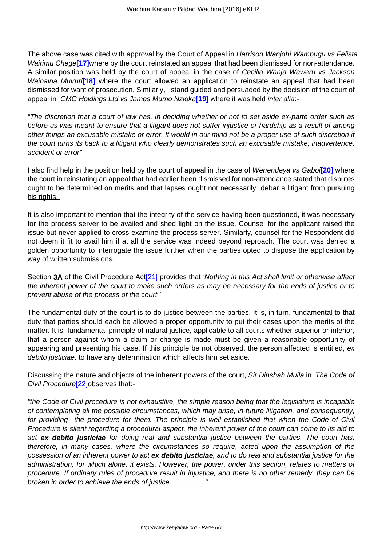The above case was cited with approval by the Court of Appeal in Harrison Wanjohi Wambugu vs Felista Wairimu Chege**[17]**where by the court reinstated an appeal that had been dismissed for non-attendance. A similar position was held by the court of appeal in the case of Cecilia Wanja Waweru vs Jackson Wainaina Muiruri<sup>[18]</sup> where the court allowed an application to reinstate an appeal that had been dismissed for want of prosecution. Similarly, I stand guided and persuaded by the decision of the court of appeal in CMC Holdings Ltd vs James Mumo Nzioka**[19]** where it was held inter alia:-

"The discretion that a court of law has, in deciding whether or not to set aside ex-parte order such as before us was meant to ensure that a litigant does not suffer injustice or hardship as a result of among other things an excusable mistake or error. It would in our mind not be a proper use of such discretion if the court turns its back to a litigant who clearly demonstrates such an excusable mistake, inadvertence, accident or error"

I also find help in the position held by the court of appeal in the case of Wenendeya vs Gaboi**[20]** where the court in reinstating an appeal that had earlier been dismissed for non-attendance stated that disputes ought to be determined on merits and that lapses ought not necessarily debar a litigant from pursuing his rights.

It is also important to mention that the integrity of the service having been questioned, it was necessary for the process server to be availed and shed light on the issue. Counsel for the applicant raised the issue but never applied to cross-examine the process server. Similarly, counsel for the Respondent did not deem it fit to avail him if at all the service was indeed beyond reproach. The court was denied a golden opportunity to interrogate the issue further when the parties opted to dispose the application by way of written submissions.

Section **3A** of the Civil Procedure Act<sup>[21]</sup> provides that 'Nothing in this Act shall limit or otherwise affect the inherent power of the court to make such orders as may be necessary for the ends of justice or to prevent abuse of the process of the court.'

The fundamental duty of the court is to do justice between the parties. It is, in turn, fundamental to that duty that parties should each be allowed a proper opportunity to put their cases upon the merits of the matter. It is fundamental principle of natural justice, applicable to all courts whether superior or inferior, that a person against whom a claim or charge is made must be given a reasonable opportunity of appearing and presenting his case. If this principle be not observed, the person affected is entitled, ex debito justiciae, to have any determination which affects him set aside.

Discussing the nature and objects of the inherent powers of the court, Sir Dinshah Mulla in The Code of Civil Procedure<sup>[22]</sup>observes that:-

"the Code of Civil procedure is not exhaustive, the simple reason being that the legislature is incapable of contemplating all the possible circumstances, which may arise, in future litigation, and consequently, for providing the procedure for them. The principle is well established that when the Code of Civil Procedure is silent regarding a procedural aspect, the inherent power of the court can come to its aid to act **ex debito justiciae** for doing real and substantial justice between the parties. The court has, therefore, in many cases, where the circumstances so require, acted upon the assumption of the possession of an inherent power to act **ex debito justiciae**, and to do real and substantial justice for the administration, for which alone, it exists. However, the power, under this section, relates to matters of procedure. If ordinary rules of procedure result in injustice, and there is no other remedy, they can be broken in order to achieve the ends of justice..................."